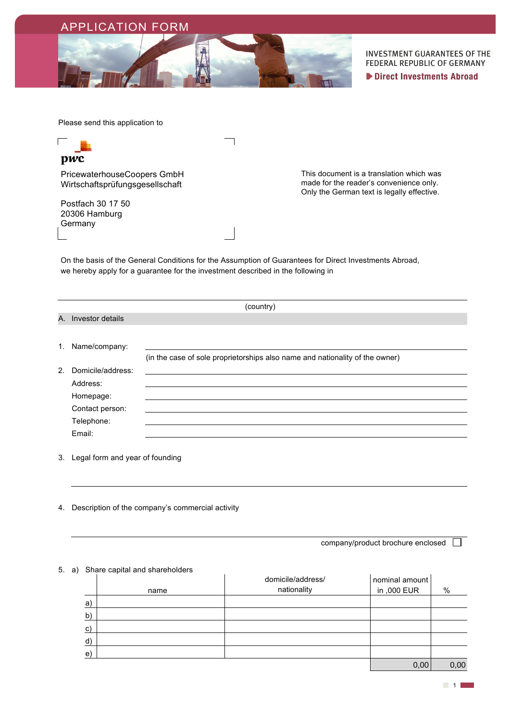

**INVESTMENT GUARANTEES OF THE** FEDERAL REPUBLIC OF GERMANY Direct Investments Abroad

Please send this application to



# pwc

PricewaterhouseCoopers GmbH Wirtschaftsprüfungsgesellschaft

Postfach 30 17 50 20306 Hamburg **Germany** 

This document is a translation which was made for the reader's convenience only. Only the German text is legally effective.

On the basis of the General Conditions for the Assumption of Guarantees for Direct Investments Abroad, we hereby apply for a guarantee for the investment described in the following in

|                | (country)           |                                                                              |  |  |
|----------------|---------------------|------------------------------------------------------------------------------|--|--|
|                | A. Investor details |                                                                              |  |  |
| 1.             | Name/company:       |                                                                              |  |  |
|                |                     | (in the case of sole proprietorships also name and nationality of the owner) |  |  |
| 2 <sub>1</sub> | Domicile/address:   |                                                                              |  |  |
|                | Address:            |                                                                              |  |  |
|                | Homepage:           |                                                                              |  |  |
|                | Contact person:     |                                                                              |  |  |
|                | Telephone:          |                                                                              |  |  |
|                | Email:              |                                                                              |  |  |
|                |                     |                                                                              |  |  |

- 3. Legal form and year of founding
- 4. Description of the company's commercial activity

company/product brochure enclosed  $\Box$ 

# 5. a) Share capital and shareholders

|    | name | domicile/address/<br>nationality | nominal amount<br>in ,000 EUR | %    |
|----|------|----------------------------------|-------------------------------|------|
| a) |      |                                  |                               |      |
| b) |      |                                  |                               |      |
| c) |      |                                  |                               |      |
| d) |      |                                  |                               |      |
| e) |      |                                  |                               |      |
|    |      |                                  | 0.001                         | 0.00 |

 $0,00$  0,00

1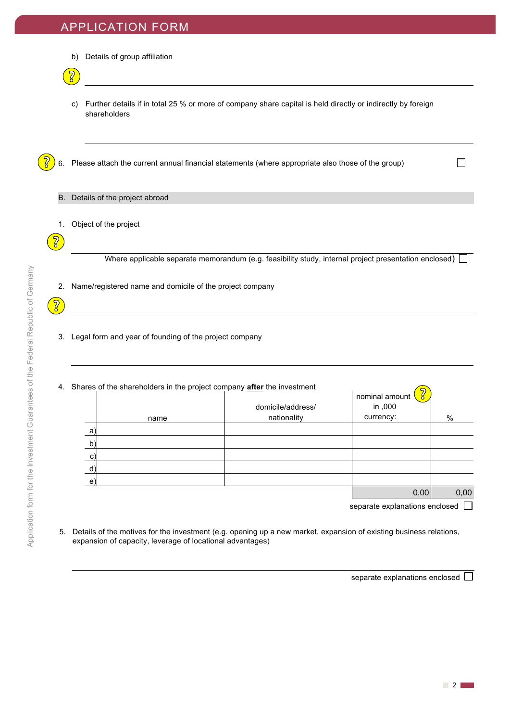- b) Details of group affiliation
- ်ခွာ
	- c) Further details if in total 25 % or more of company share capital is held directly or indirectly by foreign shareholders
- 6. Please attach the current annual financial statements (where appropriate also those of the group)
- B. Details of the project abroad
- 1. Object of the project
- $\Omega$

်<br>၁

Where applicable separate memorandum (e.g. feasibility study, internal project presentation enclosed)  $\Box$ 

- 2. Name/registered name and domicile of the project company
- 3. Legal form and year of founding of the project company
- 4. Shares of the shareholders in the project company **after** the investment <u>ริ</u> nominal amount domicile/address/ in ,000 nationality currency:  $\frac{1}{2}$  % name a) b)  $\mathbf{c}$ d) e)  $0,00$  0,00
- 5. Details of the motives for the investment (e.g. opening up a new market, expansion of existing business relations, expansion of capacity, leverage of locational advantages)

separate explanations enclosed  $\Box$ 

separate explanations enclosed  $\square$ 

 $\Box$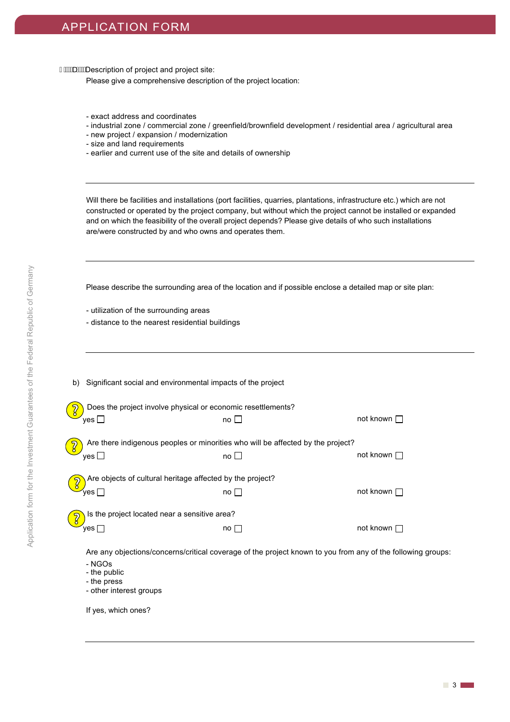î **Ellectual** Description of project and project site:

Please give a comprehensive description of the project location:

- exact address and coordinates
- industrial zone / commercial zone / greenfield/brownfield development / residential area / agricultural area
- new project / expansion / modernization
- size and land requirements
- earlier and current use of the site and details of ownership

Will there be facilities and installations (port facilities, quarries, plantations, infrastructure etc.) which are not constructed or operated by the project company, but without which the project cannot be installed or expanded and on which the feasibility of the overall project depends? Please give details of who such installations are/were constructed by and who owns and operates them.

Please describe the surrounding area of the location and if possible enclose a detailed map or site plan:

- utilization of the surrounding areas
- distance to the nearest residential buildings

| b) | Significant social and environmental impacts of the project                                                           |              |                  |
|----|-----------------------------------------------------------------------------------------------------------------------|--------------|------------------|
|    | Does the project involve physical or economic resettlements?<br>ves I                                                 | no II        | not known $\Box$ |
|    | Are there indigenous peoples or minorities who will be affected by the project?<br>yes ⊡                              | no $\square$ | not known $\Box$ |
|    | Are objects of cultural heritage affected by the project?<br>/es l                                                    | $no$         | not known $\Box$ |
|    | Is the project located near a sensitive area?<br>ves l⊤                                                               | $no \Box$    | not known $\Box$ |
|    | Are any objections/concerns/critical coverage of the project known to you from any of the following groups:<br>- NGOs |              |                  |

- the public
- the press
- other interest groups

If yes, which ones?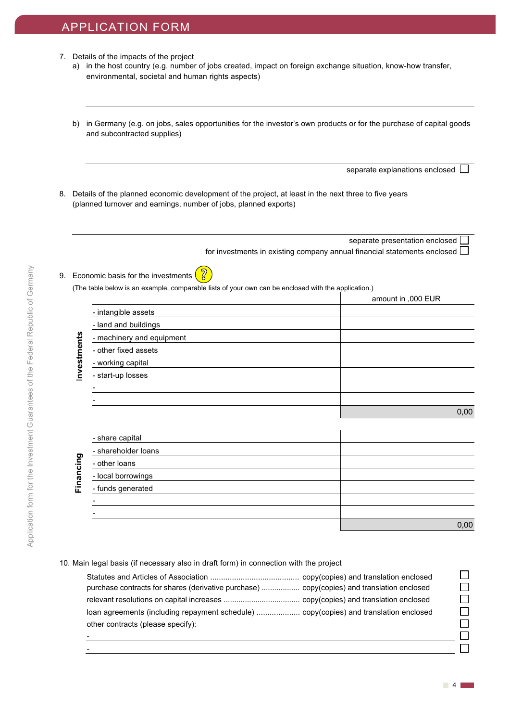- 7. Details of the impacts of the project
	- a) in the host country (e.g. number of jobs created, impact on foreign exchange situation, know-how transfer, environmental, societal and human rights aspects)
	- b) in Germany (e.g. on jobs, sales opportunities for the investor's own products or for the purchase of capital goods and subcontracted supplies)
		- separate explanations enclosed  $\Box$
- 8. Details of the planned economic development of the project, at least in the next three to five years (planned turnover and earnings, number of jobs, planned exports)

separate presentation enclosed for investments in existing company annual financial statements enclosed  $\Box$ 

 $\overline{8}$ 9. Economic basis for the investments

(The table below is an example, comparable lists of your own can be enclosed with the application.)

|             |                           | amount in ,000 EUR |
|-------------|---------------------------|--------------------|
| Investments | - intangible assets       |                    |
|             | - land and buildings      |                    |
|             | - machinery and equipment |                    |
|             | - other fixed assets      |                    |
|             | - working capital         |                    |
|             | - start-up losses         |                    |
|             |                           |                    |
|             |                           |                    |
|             |                           | 0,00               |
|             |                           |                    |
|             | - share capital           |                    |
|             | - shareholder loans       |                    |
| Financing   | - other loans             |                    |
|             | - local borrowings        |                    |
|             | - funds generated         |                    |
|             |                           |                    |
|             |                           |                    |
|             |                           | 0,00               |

# 10. Main legal basis (if necessary also in draft form) in connection with the project

| other contracts (please specify): |  |
|-----------------------------------|--|

- -

П П  $\Box$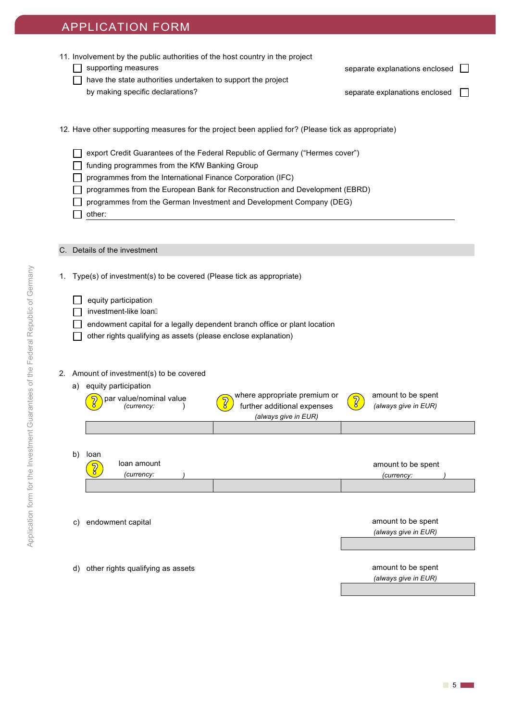| 11. Involvement by the public authorities of the host country in the project<br>supporting measures<br>have the state authorities undertaken to support the project<br>by making specific declarations?                                                                                                                                                      | separate explanations enclosed<br>separate explanations enclosed |  |  |
|--------------------------------------------------------------------------------------------------------------------------------------------------------------------------------------------------------------------------------------------------------------------------------------------------------------------------------------------------------------|------------------------------------------------------------------|--|--|
| 12. Have other supporting measures for the project been applied for? (Please tick as appropriate)                                                                                                                                                                                                                                                            |                                                                  |  |  |
| export Credit Guarantees of the Federal Republic of Germany ("Hermes cover")<br>funding programmes from the KfW Banking Group<br>programmes from the International Finance Corporation (IFC)<br>programmes from the European Bank for Reconstruction and Development (EBRD)<br>programmes from the German Investment and Development Company (DEG)<br>other: |                                                                  |  |  |
| C. Details of the investment                                                                                                                                                                                                                                                                                                                                 |                                                                  |  |  |
| Type(s) of investment(s) to be covered (Please tick as appropriate)<br>1.                                                                                                                                                                                                                                                                                    |                                                                  |  |  |
| equity participation<br>investment-like loanÁ<br>endowment capital for a legally dependent branch office or plant location<br>other rights qualifying as assets (please enclose explanation)                                                                                                                                                                 |                                                                  |  |  |
| 2. Amount of investment(s) to be covered<br>equity participation<br>a)<br>where appropriate premium or<br>par value/nominal value<br>further additional expenses<br>(currency:<br>(always give in EUR)                                                                                                                                                       | amount to be spent<br>(always give in EUR)                       |  |  |
| b)<br>loan<br>loan amount<br>$\overline{g}$<br>(currency:                                                                                                                                                                                                                                                                                                    | amount to be spent<br>(currency:                                 |  |  |
| endowment capital<br>C)                                                                                                                                                                                                                                                                                                                                      | amount to be spent<br>(always give in EUR)                       |  |  |
| other rights qualifying as assets<br>d)                                                                                                                                                                                                                                                                                                                      | amount to be spent                                               |  |  |

*(always give in EUR)*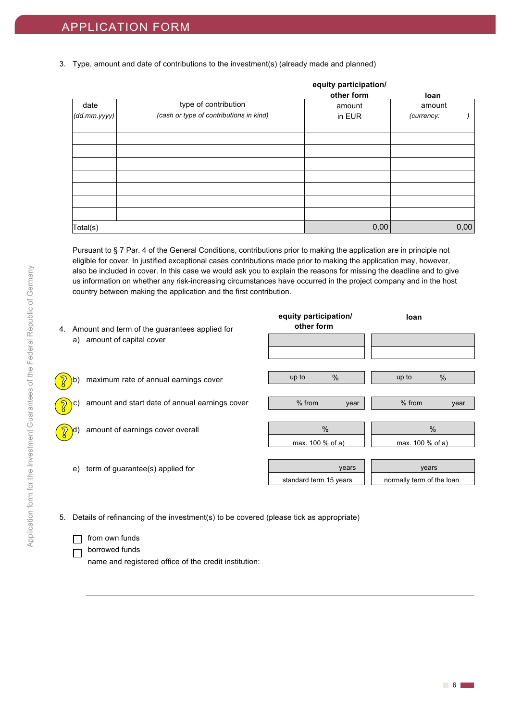3. Type, amount and date of contributions to the investment(s) (already made and planned)

|                    |                                         | equity participation/ |            |  |
|--------------------|-----------------------------------------|-----------------------|------------|--|
|                    |                                         | other form            | loan       |  |
| date               | type of contribution                    | amount                | amount     |  |
| $(dd.mm.$ yyyy $)$ | (cash or type of contributions in kind) | in EUR                | (currency: |  |
|                    |                                         |                       |            |  |
|                    |                                         |                       |            |  |
|                    |                                         |                       |            |  |
|                    |                                         |                       |            |  |
|                    |                                         |                       |            |  |
|                    |                                         |                       |            |  |
|                    |                                         |                       |            |  |
| Total(s)           |                                         | 0,00                  | 0,00       |  |

Pursuant to § 7 Par. 4 of the General Conditions, contributions prior to making the application are in principle not eligible for cover. In justified exceptional cases contributions made prior to making the application may, however, also be included in cover. In this case we would ask you to explain the reasons for missing the deadline and to give us information on whether any risk-increasing circumstances have occurred in the project company and in the host country between making the application and the first contribution.

| 4.                    | Amount and term of the guarantees applied for  | equity participation/<br>other form | loan                               |
|-----------------------|------------------------------------------------|-------------------------------------|------------------------------------|
|                       | a) amount of capital cover                     |                                     |                                    |
|                       | maximum rate of annual earnings cover          | $\frac{0}{0}$<br>up to              | $\frac{0}{0}$<br>up to             |
| $\overline{2}$<br>.C) | amount and start date of annual earnings cover | % from<br>year                      | % from<br>year                     |
|                       | amount of earnings cover overall               | $\%$<br>max. 100 % of a)            | $\frac{0}{0}$<br>max. 100 % of a)  |
| e)                    | term of guarantee(s) applied for               | years<br>standard term 15 years     | years<br>normally term of the loan |
|                       |                                                |                                     |                                    |

- 5. Details of refinancing of the investment(s) to be covered (please tick as appropriate)
	- $\Box$ from own funds borrowed funds  $\Box$ name and registered office of the credit institution: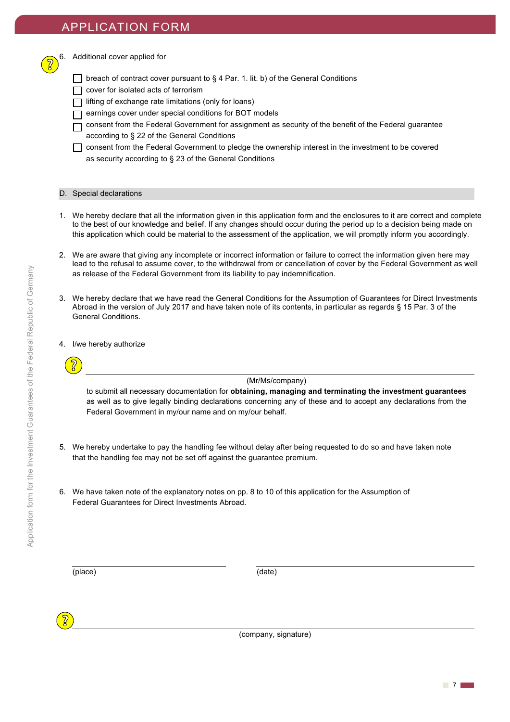

6. Additional cover applied for

- $\Box$  breach of contract cover pursuant to § 4 Par. 1. lit. b) of the General Conditions
- cover for isolated acts of terrorism
- lifting of exchange rate limitations (only for loans)
- earnings cover under special conditions for BOT models
- consent from the Federal Government for assignment as security of the benefit of the Federal guarantee according to § 22 of the General Conditions
- consent from the Federal Government to pledge the ownership interest in the investment to be covered as security according to § 23 of the General Conditions

# D. Special declarations

- 1. We hereby declare that all the information given in this application form and the enclosures to it are correct and complete to the best of our knowledge and belief. If any changes should occur during the period up to a decision being made on this application which could be material to the assessment of the application, we will promptly inform you accordingly.
- 2. We are aware that giving any incomplete or incorrect information or failure to correct the information given here may lead to the refusal to assume cover, to the withdrawal from or cancellation of cover by the Federal Government as well as release of the Federal Government from its liability to pay indemnification.
- 3. We hereby declare that we have read the General Conditions for the Assumption of Guarantees for Direct Investments Abroad in the version of July 2017 and have taken note of its contents, in particular as regards § 15 Par. 3 of the General Conditions.
- 4. I/we hereby authorize



# (Mr/Ms/company)

to submit all necessary documentation for **obtaining, managing and terminating the investment guarantees** as well as to give legally binding declarations concerning any of these and to accept any declarations from the Federal Government in my/our name and on my/our behalf.

- 5. We hereby undertake to pay the handling fee without delay after being requested to do so and have taken note that the handling fee may not be set off against the guarantee premium.
- 6. We have taken note of the explanatory notes on pp. 8 to 10 of this application for the Assumption of Federal Guarantees for Direct Investments Abroad.

(place) (date)

(company, signature)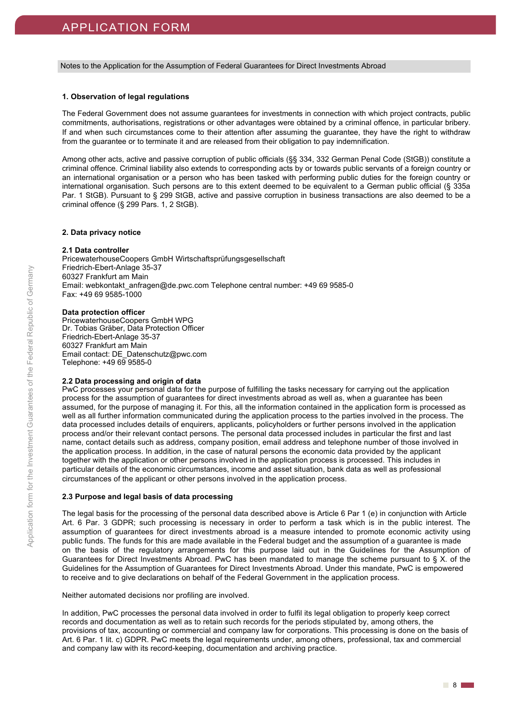#### Notes to the Application for the Assumption of Federal Guarantees for Direct Investments Abroad

#### **1. Observation of legal regulations**

The Federal Government does not assume guarantees for investments in connection with which project contracts, public commitments, authorisations, registrations or other advantages were obtained by a criminal offence, in particular bribery. If and when such circumstances come to their attention after assuming the guarantee, they have the right to withdraw from the guarantee or to terminate it and are released from their obligation to pay indemnification.

Among other acts, active and passive corruption of public officials (§§ 334, 332 German Penal Code (StGB)) constitute a criminal offence. Criminal liability also extends to corresponding acts by or towards public servants of a foreign country or an international organisation or a person who has been tasked with performing public duties for the foreign country or international organisation. Such persons are to this extent deemed to be equivalent to a German public official (§ 335a Par. 1 StGB). Pursuant to § 299 StGB, active and passive corruption in business transactions are also deemed to be a criminal offence (§ 299 Pars. 1, 2 StGB).

#### **2. Data privacy notice**

#### **2.1 Data controller**

PricewaterhouseCoopers GmbH Wirtschaftsprüfungsgesellschaft Friedrich-Ebert-Anlage 35-37 60327 Frankfurt am Main Email: webkontakt\_anfragen@de.pwc.com Telephone central number: +49 69 9585-0 Fax: +49 69 9585-1000

#### **Data protection officer**

PricewaterhouseCoopers GmbH WPG Dr. Tobias Gräber, Data Protection Officer Friedrich-Ebert-Anlage 35-37 60327 Frankfurt am Main Email contact: DE\_Datenschutz@pwc.com Telephone:  $+49699585-0$ 

# **2.2 Data processing and origin of data**

PwC processes your personal data for the purpose of fulfilling the tasks necessary for carrying out the application process for the assumption of guarantees for direct investments abroad as well as, when a guarantee has been assumed, for the purpose of managing it. For this, all the information contained in the application form is processed as well as all further information communicated during the application process to the parties involved in the process. The data processed includes details of enquirers, applicants, policyholders or further persons involved in the application process and/or their relevant contact persons. The personal data processed includes in particular the first and last name, contact details such as address, company position, email address and telephone number of those involved in the application process. In addition, in the case of natural persons the economic data provided by the applicant together with the application or other persons involved in the application process is processed. This includes in particular details of the economic circumstances, income and asset situation, bank data as well as professional circumstances of the applicant or other persons involved in the application process.

# **2.3 Purpose and legal basis of data processing**

The legal basis for the processing of the personal data described above is Article 6 Par 1 (e) in conjunction with Article Art. 6 Par. 3 GDPR; such processing is necessary in order to perform a task which is in the public interest. The assumption of guarantees for direct investments abroad is a measure intended to promote economic activity using public funds. The funds for this are made available in the Federal budget and the assumption of a guarantee is made on the basis of the regulatory arrangements for this purpose laid out in the Guidelines for the Assumption of Guarantees for Direct Investments Abroad. PwC has been mandated to manage the scheme pursuant to § X. of the Guidelines for the Assumption of Guarantees for Direct Investments Abroad. Under this mandate, PwC is empowered to receive and to give declarations on behalf of the Federal Government in the application process.

Neither automated decisions nor profiling are involved.

In addition, PwC processes the personal data involved in order to fulfil its legal obligation to properly keep correct records and documentation as well as to retain such records for the periods stipulated by, among others, the provisions of tax, accounting or commercial and company law for corporations. This processing is done on the basis of Art. 6 Par. 1 lit. c) GDPR. PwC meets the legal requirements under, among others, professional, tax and commercial and company law with its record-keeping, documentation and archiving practice.

8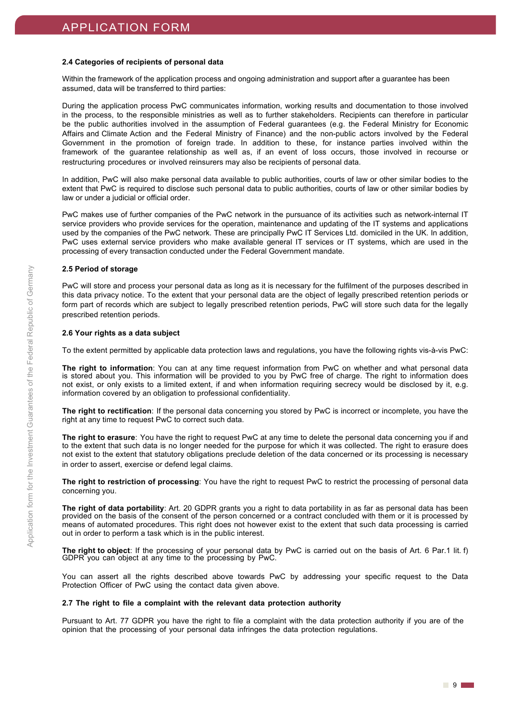## **2.4 Categories of recipients of personal data**

Within the framework of the application process and ongoing administration and support after a guarantee has been assumed, data will be transferred to third parties:

During the application process PwC communicates information, working results and documentation to those involved in the process, to the responsible ministries as well as to further stakeholders. Recipients can therefore in particular be the public authorities involved in the assumption of Federal guarantees (e.g. the Federal Ministry for Economic Affairs and Climate Action and the Federal Ministry of Finance) and the non-public actors involved by the Federal Government in the promotion of foreign trade. In addition to these, for instance parties involved within the framework of the guarantee relationship as well as, if an event of loss occurs, those involved in recourse or restructuring procedures or involved reinsurers may also be recipients of personal data.

In addition, PwC will also make personal data available to public authorities, courts of law or other similar bodies to the extent that PwC is required to disclose such personal data to public authorities, courts of law or other similar bodies by law or under a judicial or official order.

PwC makes use of further companies of the PwC network in the pursuance of its activities such as network-internal IT service providers who provide services for the operation, maintenance and updating of the IT systems and applications used by the companies of the PwC network. These are principally PwC IT Services Ltd. domiciled in the UK. In addition, PwC uses external service providers who make available general IT services or IT systems, which are used in the processing of every transaction conducted under the Federal Government mandate.

# **2.5 Period of storage**

PwC will store and process your personal data as long as it is necessary for the fulfilment of the purposes described in this data privacy notice. To the extent that your personal data are the object of legally prescribed retention periods or form part of records which are subject to legally prescribed retention periods, PwC will store such data for the legally prescribed retention periods.

## **2.6 Your rights as a data subject**

To the extent permitted by applicable data protection laws and regulations, you have the following rights vis-à-vis PwC:

**The right to information**: You can at any time request information from PwC on whether and what personal data is stored about you. This information will be provided to you by PwC free of charge. The right to information does not exist, or only exists to a limited extent, if and when information requiring secrecy would be disclosed by it, e.g. information covered by an obligation to professional confidentiality.

**The right to rectification**: If the personal data concerning you stored by PwC is incorrect or incomplete, you have the right at any time to request PwC to correct such data.

**The right to erasure**: You have the right to request PwC at any time to delete the personal data concerning you if and to the extent that such data is no longer needed for the purpose for which it was collected. The right to erasure does not exist to the extent that statutory obligations preclude deletion of the data concerned or its processing is necessary in order to assert, exercise or defend legal claims.

**The right to restriction of processing**: You have the right to request PwC to restrict the processing of personal data concerning you.

**The right of data portability**: Art. 20 GDPR grants you a right to data portability in as far as personal data has been provided on the basis of the consent of the person concerned or a contract concluded with them or it is processed by means of automated procedures. This right does not however exist to the extent that such data processing is carried out in order to perform a task which is in the public interest.

**The right to object**: If the processing of your personal data by PwC is carried out on the basis of Art. 6 Par.1 lit. f) GDPR you can object at any time to the processing by PwC.

You can assert all the rights described above towards PwC by addressing your specific request to the Data Protection Officer of PwC using the contact data given above.

#### **2.7 The right to file a complaint with the relevant data protection authority**

Pursuant to Art. 77 GDPR you have the right to file a complaint with the data protection authority if you are of the opinion that the processing of your personal data infringes the data protection regulations.

9